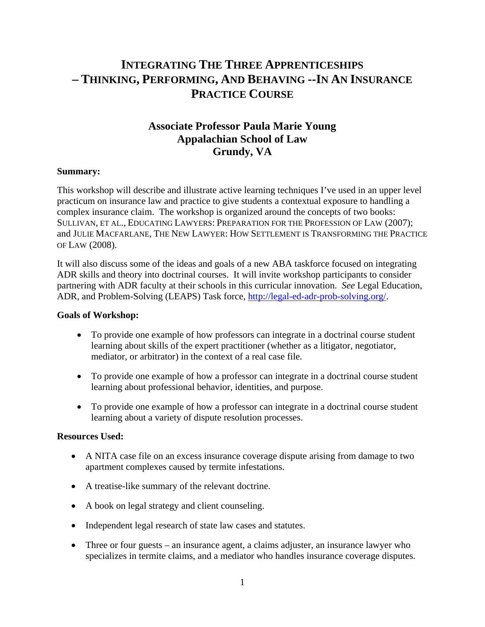# **INTEGRATING THE THREE APPRENTICESHIPS – THINKING, PERFORMING, AND BEHAVING --IN AN INSURANCE PRACTICE COURSE**

## **Associate Professor Paula Marie Young Appalachian School of Law Grundy, VA**

#### **Summary:**

This workshop will describe and illustrate active learning techniques I've used in an upper level practicum on insurance law and practice to give students a contextual exposure to handling a complex insurance claim. The workshop is organized around the concepts of two books: SULLIVAN, ET AL., EDUCATING LAWYERS: PREPARATION FOR THE PROFESSION OF LAW (2007); and JULIE MACFARLANE, THE NEW LAWYER: HOW SETTLEMENT IS TRANSFORMING THE PRACTICE OF LAW (2008).

It will also discuss some of the ideas and goals of a new ABA taskforce focused on integrating ADR skills and theory into doctrinal courses. It will invite workshop participants to consider partnering with ADR faculty at their schools in this curricular innovation. *See* Legal Education, ADR, and Problem-Solving (LEAPS) Task force, http://legal-ed-adr-prob-solving.org/.

#### **Goals of Workshop:**

- To provide one example of how professors can integrate in a doctrinal course student learning about skills of the expert practitioner (whether as a litigator, negotiator, mediator, or arbitrator) in the context of a real case file.
- To provide one example of how a professor can integrate in a doctrinal course student learning about professional behavior, identities, and purpose.
- To provide one example of how a professor can integrate in a doctrinal course student learning about a variety of dispute resolution processes.

#### **Resources Used:**

- A NITA case file on an excess insurance coverage dispute arising from damage to two apartment complexes caused by termite infestations.
- A treatise-like summary of the relevant doctrine.
- A book on legal strategy and client counseling.
- Independent legal research of state law cases and statutes.
- Three or four guests an insurance agent, a claims adjuster, an insurance lawyer who specializes in termite claims, and a mediator who handles insurance coverage disputes.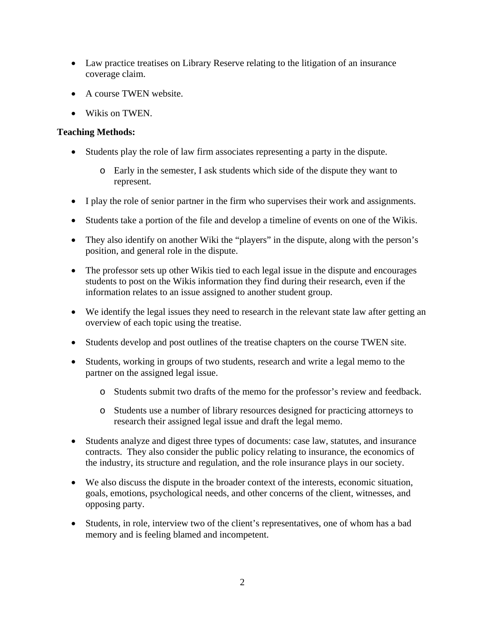- Law practice treatises on Library Reserve relating to the litigation of an insurance coverage claim.
- A course TWEN website.
- Wikis on TWEN.

### **Teaching Methods:**

- Students play the role of law firm associates representing a party in the dispute.
	- o Early in the semester, I ask students which side of the dispute they want to represent.
- I play the role of senior partner in the firm who supervises their work and assignments.
- Students take a portion of the file and develop a timeline of events on one of the Wikis.
- They also identify on another Wiki the "players" in the dispute, along with the person's position, and general role in the dispute.
- The professor sets up other Wikis tied to each legal issue in the dispute and encourages students to post on the Wikis information they find during their research, even if the information relates to an issue assigned to another student group.
- We identify the legal issues they need to research in the relevant state law after getting an overview of each topic using the treatise.
- Students develop and post outlines of the treatise chapters on the course TWEN site.
- Students, working in groups of two students, research and write a legal memo to the partner on the assigned legal issue.
	- o Students submit two drafts of the memo for the professor's review and feedback.
	- o Students use a number of library resources designed for practicing attorneys to research their assigned legal issue and draft the legal memo.
- Students analyze and digest three types of documents: case law, statutes, and insurance contracts. They also consider the public policy relating to insurance, the economics of the industry, its structure and regulation, and the role insurance plays in our society.
- We also discuss the dispute in the broader context of the interests, economic situation, goals, emotions, psychological needs, and other concerns of the client, witnesses, and opposing party.
- Students, in role, interview two of the client's representatives, one of whom has a bad memory and is feeling blamed and incompetent.